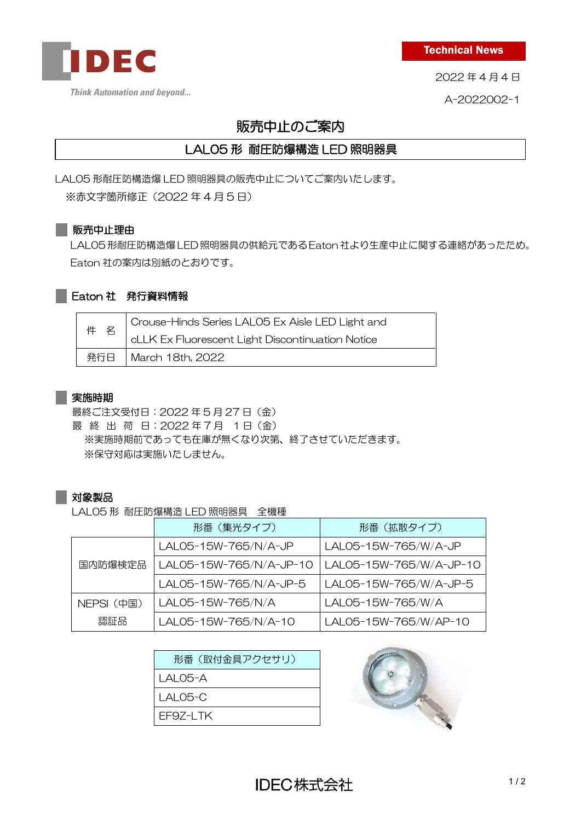

Technical News

2022 年 4 月 4 日

A-2022002-1

# 販売中止のご案内

## LAL05 形 耐圧防爆構造 LED 照明器具

LAL05 形耐圧防構造爆 LED 照明器具の販売中止についてご案内いたします。

※赤文字箇所修正(2022 年 4 月 5 日)

#### ■販売中止理由

LAL05 形耐圧防構造爆 LED 照明器具の供給元である Eaton社より生産中止に関する連絡があったため。 Eaton 社の案内は別紙のとおりです。

### Eaton 社 発行資料情報

|  | 件名 | Crouse-Hinds Series LAL05 Ex Aisle LED Light and |
|--|----|--------------------------------------------------|
|  |    | cLLK Ex Fluorescent Light Discontinuation Notice |
|  |    | 発行日   March 18th, 2022                           |

#### 実施時期

最終ご注文受付日:2022 年 5 月 27 日(金) 最 終 出 荷 日: 2022年7月 1日 (金) ※実施時期前であっても在庫が無くなり次第、終了させていただきます。 ※保守対応は実施いたしません。

#### 対象製品

LAL05 形 耐圧防爆構造 LED 照明器具 全機種

|            | 形番(集光タイプ)               | 形番(拡散タイプ)               |  |
|------------|-------------------------|-------------------------|--|
|            | LAL05-15W-765/N/A-JP    | LAL05-15W-765/W/A-JP    |  |
| 国内防爆検定品    | LAL05-15W-765/N/A-JP-10 | LAL05-15W-765/W/A-JP-10 |  |
|            | LAL05-15W-765/N/A-JP-5  | LAL05-15W-765/W/A-JP-5  |  |
| NEPSI (中国) | LAL05-15W-765/N/A       | LAL05-15W-765/W/A       |  |
| 認証品        | LAL05-15W-765/N/A-10    | LAL05-15W-765/W/AP-10   |  |

| 形番(取付金具アクセサリ) |
|---------------|
| I AI 05-A     |
| I AI 05-C     |
| FF97-I TK     |
|               |

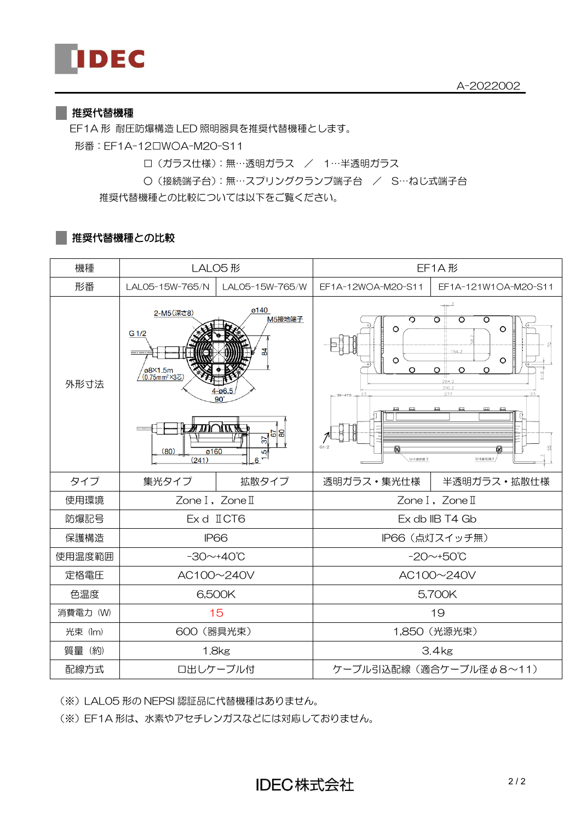#### || 推奨代替機種

EF1A 形 耐圧防爆構造 LED 照明器具を推奨代替機種とします。 形番:EF1A-12□W○A-M20-S11

□(ガラス仕様):無…透明ガラス / 1…半透明ガラス

○(接続端子台):無…スプリングクランプ端子台 / S…ねじ式端子台

推奨代替機種との比較については以下をご覧ください。

#### ||推奨代替機種との比較

| 機種                          | LALO5形                                                                                                                                                                                              |                         | EF1A形                                                                                                                                                                                                         |                      |
|-----------------------------|-----------------------------------------------------------------------------------------------------------------------------------------------------------------------------------------------------|-------------------------|---------------------------------------------------------------------------------------------------------------------------------------------------------------------------------------------------------------|----------------------|
| 形番                          | LAL05-15W-765/N                                                                                                                                                                                     | LAL05-15W-765/W         | EF1A-12WOA-M20-S11                                                                                                                                                                                            | EF1A-121W1OA-M20-S11 |
| 外形寸法                        | ø140<br>2-M5(深さ8)<br>M5接地端子<br>G 1/2<br>모<br>ø8×1.5m<br>(0.75mm <sup>2</sup> ×3芯)<br><i>₩™</i> ∪™<br>$\frac{1}{2}$ $\frac{1}{2}$ $\frac{1}{2}$ $\frac{1}{2}$<br>ø160<br>(80)<br>5<br>(241)<br>$6 +$ |                         | ०<br>$\overline{\circ}$<br>०<br>ত<br>$\circ$<br>$\circ$<br>154.2<br>$\circ$<br>O<br>$\circ$<br>$\circ$<br>O<br>$\circ$<br>284.2<br>310.2<br>277<br>$39 - 475$<br>皿<br>皿<br>皿<br>G1/2<br>N<br>M4接地端子<br>M4接地端子 |                      |
| タイプ                         | 集光タイプ                                                                                                                                                                                               | 拡散タイプ                   | 透明ガラス・集光仕様                                                                                                                                                                                                    | 半透明ガラス·拡散仕様          |
| 使用環境<br>Zone I, Zone II     |                                                                                                                                                                                                     |                         | Zone I, Zone II                                                                                                                                                                                               |                      |
| 防爆記号                        | Ex d II CT6                                                                                                                                                                                         |                         | Ex db IIB T4 Gb                                                                                                                                                                                               |                      |
| 保護構造                        | <b>IP66</b>                                                                                                                                                                                         |                         |                                                                                                                                                                                                               | IP66 (点灯スイッチ無)       |
| 使用温度範囲                      | $-30$ ~+40°C                                                                                                                                                                                        |                         | $-20$ ~+50°C                                                                                                                                                                                                  |                      |
| 定格電圧                        | AC100~240V                                                                                                                                                                                          |                         | AC100~240V                                                                                                                                                                                                    |                      |
| 色温度                         | 6,500K                                                                                                                                                                                              |                         | 5,700K                                                                                                                                                                                                        |                      |
| 消費電力 (W)<br>15              |                                                                                                                                                                                                     | 19                      |                                                                                                                                                                                                               |                      |
| 光束 (lm)                     | 600 (器具光束)                                                                                                                                                                                          |                         | 1,850 (光源光束)                                                                                                                                                                                                  |                      |
| 質量 (約)<br>1.8 <sub>kg</sub> |                                                                                                                                                                                                     | 3.4 <sub>kg</sub>       |                                                                                                                                                                                                               |                      |
| 配線方式<br>口出しケーブル付            |                                                                                                                                                                                                     | ケーブル引込配線 (適合ケーブル径Φ8~11) |                                                                                                                                                                                                               |                      |

(※)LAL05 形の NEPSI 認証品に代替機種はありません。

(※)EF1A 形は、水素やアセチレンガスなどには対応しておりません。